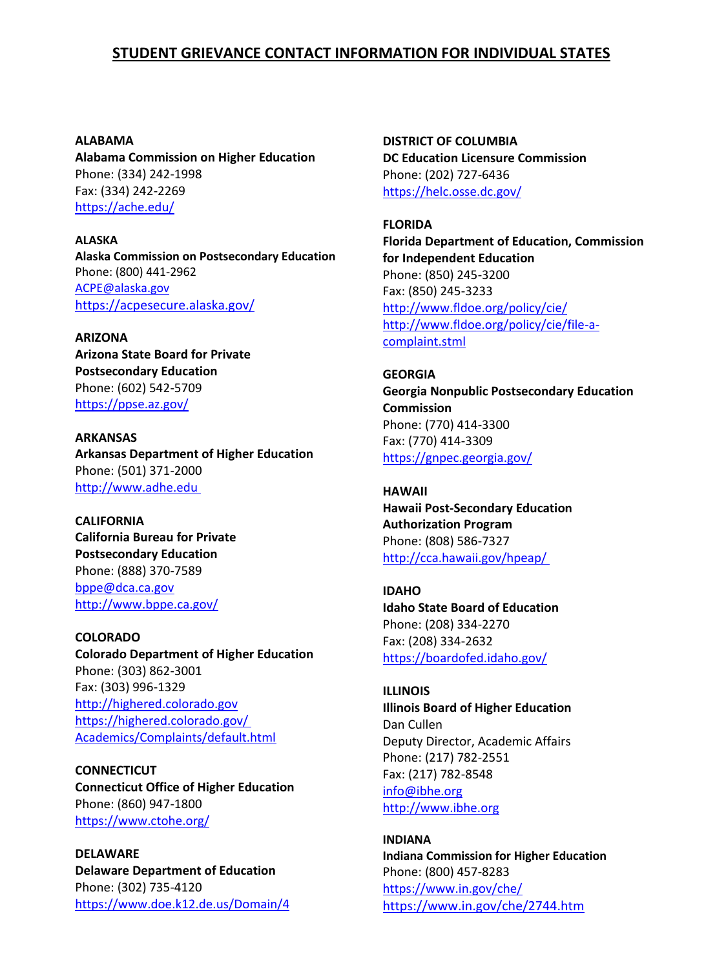**ALABAMA Alabama Commission on Higher Education**  Phone: (334) 242-1998 Fax: (334) 242-2269 <https://ache.edu/>

**ALASKA Alaska Commission on Postsecondary Education**  Phone: (800) 441-2962 [ACPE@alaska.gov](mailto:ACPE@alaska.gov) <https://acpesecure.alaska.gov/>

**ARIZONA Arizona State Board for Private Postsecondary Education** Phone: (602) 542-5709 <https://ppse.az.gov/>

**ARKANSAS Arkansas Department of Higher Education**  Phone: (501) 371-2000 [http://www.adhe.edu](http://www.adhe.edu/)

**CALIFORNIA California Bureau for Private Postsecondary Education**  Phone: (888) 370-7589 [bppe@dca.ca.gov](mailto:bppe@dca.ca.gov) <http://www.bppe.ca.gov/>

**COLORADO Colorado Department of Higher Education**  Phone: (303) 862-3001 Fax: (303) 996-1329 [http://highered.colorado.gov](http://highered.colorado.gov/) [https://highered.colorado.gov/](https://highered.colorado.gov/%20Academics/Complaints/default.html)  [Academics/Complaints/default.html](https://highered.colorado.gov/%20Academics/Complaints/default.html)

**CONNECTICUT Connecticut Office of Higher Education**  Phone: (860) 947-1800 <https://www.ctohe.org/>

**DELAWARE Delaware Department of Education**  Phone: (302) 735-4120 <https://www.doe.k12.de.us/Domain/4> **DISTRICT OF COLUMBIA DC Education Licensure Commission**  Phone: (202) 727-6436 <https://helc.osse.dc.gov/>

**FLORIDA Florida Department of Education, Commission for Independent Education**  Phone: (850) 245-3200 Fax: (850) 245-3233 <http://www.fldoe.org/policy/cie/> [http://www.fldoe.org/policy/cie/file-a](http://www.fldoe.org/policy/cie/file-a-complaint.stml)[complaint.stml](http://www.fldoe.org/policy/cie/file-a-complaint.stml)

**GEORGIA Georgia Nonpublic Postsecondary Education Commission**  Phone: (770) 414-3300 Fax: (770) 414-3309 <https://gnpec.georgia.gov/>

**HAWAII Hawaii Post-Secondary Education Authorization Program**  Phone: (808) 586-7327 <http://cca.hawaii.gov/hpeap/>

**IDAHO Idaho State Board of Education**  Phone: (208) 334-2270 Fax: (208) 334-2632 <https://boardofed.idaho.gov/>

**ILLINOIS Illinois Board of Higher Education**  Dan Cullen Deputy Director, Academic Affairs Phone: (217) 782-2551 Fax: (217) 782-8548 [info@ibhe.org](mailto:info@ibhe.org) [http://www.ibhe.org](http://www.ibhe.org/)

**INDIANA Indiana Commission for Higher Education**  Phone: (800) 457-8283 <https://www.in.gov/che/> <https://www.in.gov/che/2744.htm>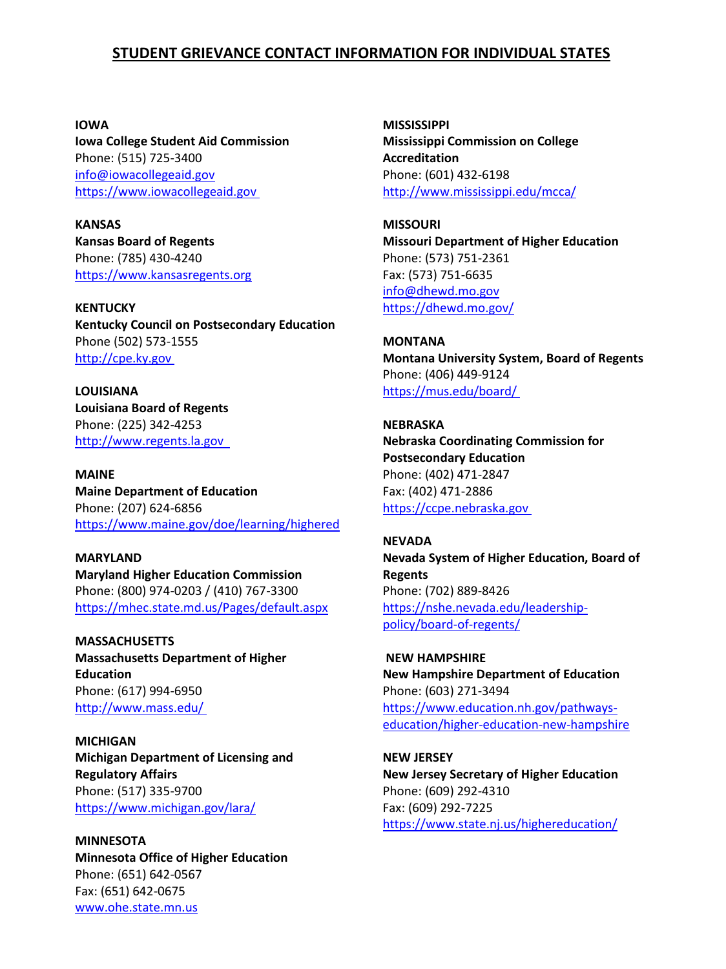**IOWA Iowa College Student Aid Commission**  Phone: (515) 725-3400 [info@iowacollegeaid.gov](mailto:info@iowacollegeaid.gov) [https://www.iowacollegeaid.gov](https://www.iowacollegeaid.gov/)

**KANSAS Kansas Board of Regents**  Phone: (785) 430-4240 [https://www.kansasregents.org](https://www.kansasregents.org/)

**KENTUCKY Kentucky Council on Postsecondary Education** Phone (502) 573-1555 [http://cpe.ky.gov](http://cpe.ky.gov/)

**LOUISIANA Louisiana Board of Regents**  Phone: (225) 342-4253 [http://www.regents.la.gov](http://www.regents.la.gov/) 

**MAINE Maine Department of Education**  Phone: (207) 624-6856 <https://www.maine.gov/doe/learning/highered>

**MARYLAND Maryland Higher Education Commission**  Phone: (800) 974-0203 / (410) 767-3300 <https://mhec.state.md.us/Pages/default.aspx>

**MASSACHUSETTS Massachusetts Department of Higher Education**  Phone: (617) 994-6950 <http://www.mass.edu/>

**MICHIGAN Michigan Department of Licensing and Regulatory Affairs** Phone: (517) 335-9700 <https://www.michigan.gov/lara/>

**MINNESOTA Minnesota Office of Higher Education**  Phone: (651) 642-0567 Fax: (651) 642-0675 [www.ohe.state.mn.us](http://www.ohe.state.mn.us/)

**MISSISSIPPI Mississippi Commission on College Accreditation**  Phone: (601) 432-6198 <http://www.mississippi.edu/mcca/>

**MISSOURI Missouri Department of Higher Education**  Phone: (573) 751-2361 Fax: (573) 751-6635 [info@dhewd.mo.gov](mailto:info@dhewd.mo.gov) <https://dhewd.mo.gov/>

**MONTANA Montana University System, Board of Regents**  Phone: (406) 449-9124 <https://mus.edu/board/>

**NEBRASKA Nebraska Coordinating Commission for Postsecondary Education**  Phone: (402) 471-2847 Fax: (402) 471-2886 [https://ccpe.nebraska.gov](https://ccpe.nebraska.gov/)

**NEVADA Nevada System of Higher Education, Board of Regents**  Phone: (702) 889-8426 [https://nshe.nevada.edu/leadership](https://nshe.nevada.edu/leadership-policy/board-of-regents/)[policy/board-of-regents/](https://nshe.nevada.edu/leadership-policy/board-of-regents/)

**NEW HAMPSHIRE New Hampshire Department of Education**  Phone: (603) 271-3494 [https://www.education.nh.gov/pathways](https://www.education.nh.gov/pathways-education/higher-education-new-hampshire)[education/higher-education-new-hampshire](https://www.education.nh.gov/pathways-education/higher-education-new-hampshire)

**NEW JERSEY New Jersey Secretary of Higher Education**  Phone: (609) 292-4310 Fax: (609) 292-7225 <https://www.state.nj.us/highereducation/>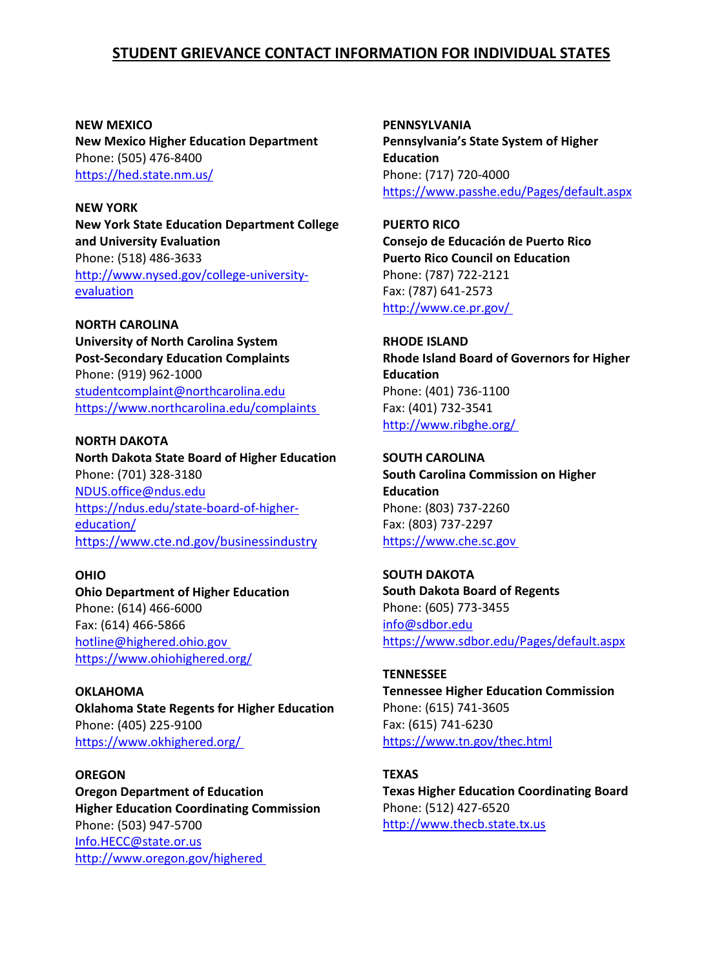**NEW MEXICO New Mexico Higher Education Department**  Phone: (505) 476-8400 <https://hed.state.nm.us/>

**NEW YORK New York State Education Department College and University Evaluation** Phone: (518) 486-3633 [http://www.nysed.gov/college-university](http://www.nysed.gov/college-university-evaluation)[evaluation](http://www.nysed.gov/college-university-evaluation)

**NORTH CAROLINA University of North Carolina System Post-Secondary Education Complaints**  Phone: (919) 962-1000 [studentcomplaint@northcarolina.edu](mailto:studentcomplaint@northcarolina.edu) <https://www.northcarolina.edu/complaints>

**NORTH DAKOTA North Dakota State Board of Higher Education**  Phone: (701) 328-3180 [NDUS.office@ndus.edu](mailto:NDUS.office@ndus.edu) [https://ndus.edu/state-board-of-higher](https://ndus.edu/state-board-of-higher-education/)[education/](https://ndus.edu/state-board-of-higher-education/) <https://www.cte.nd.gov/businessindustry>

#### **OHIO**

**Ohio Department of Higher Education** Phone: (614) 466-6000 Fax: (614) 466-5866 [hotline@highered.ohio.gov](mailto:hotline@highered.ohio.gov) <https://www.ohiohighered.org/>

**OKLAHOMA Oklahoma State Regents for Higher Education**  Phone: (405) 225-9100 <https://www.okhighered.org/>

**OREGON Oregon Department of Education Higher Education Coordinating Commission** Phone: (503) 947-5700 [Info.HECC@state.or.us](mailto:Info.HECC@state.or.us) <http://www.oregon.gov/highered>

**PENNSYLVANIA Pennsylvania's State System of Higher Education** Phone: (717) 720-4000 <https://www.passhe.edu/Pages/default.aspx>

**PUERTO RICO Consejo de Educación de Puerto Rico Puerto Rico Council on Education**  Phone: (787) 722-2121 Fax: (787) 641-2573 <http://www.ce.pr.gov/>

**RHODE ISLAND Rhode Island Board of Governors for Higher Education**  Phone: (401) 736-1100 Fax: (401) 732-3541 <http://www.ribghe.org/>

**SOUTH CAROLINA South Carolina Commission on Higher Education**  Phone: (803) 737-2260 Fax: (803) 737-2297 [https://www.che.sc.gov](https://www.che.sc.gov/)

**SOUTH DAKOTA South Dakota Board of Regents** Phone: (605) 773-3455 [info@sdbor.edu](mailto:info@sdbor.edu) <https://www.sdbor.edu/Pages/default.aspx>

**TENNESSEE Tennessee Higher Education Commission**  Phone: (615) 741-3605 Fax: (615) 741-6230 <https://www.tn.gov/thec.html>

**TEXAS Texas Higher Education Coordinating Board**  Phone: (512) 427-6520 [http://www.thecb.state.tx.us](http://www.thecb.state.tx.us/)